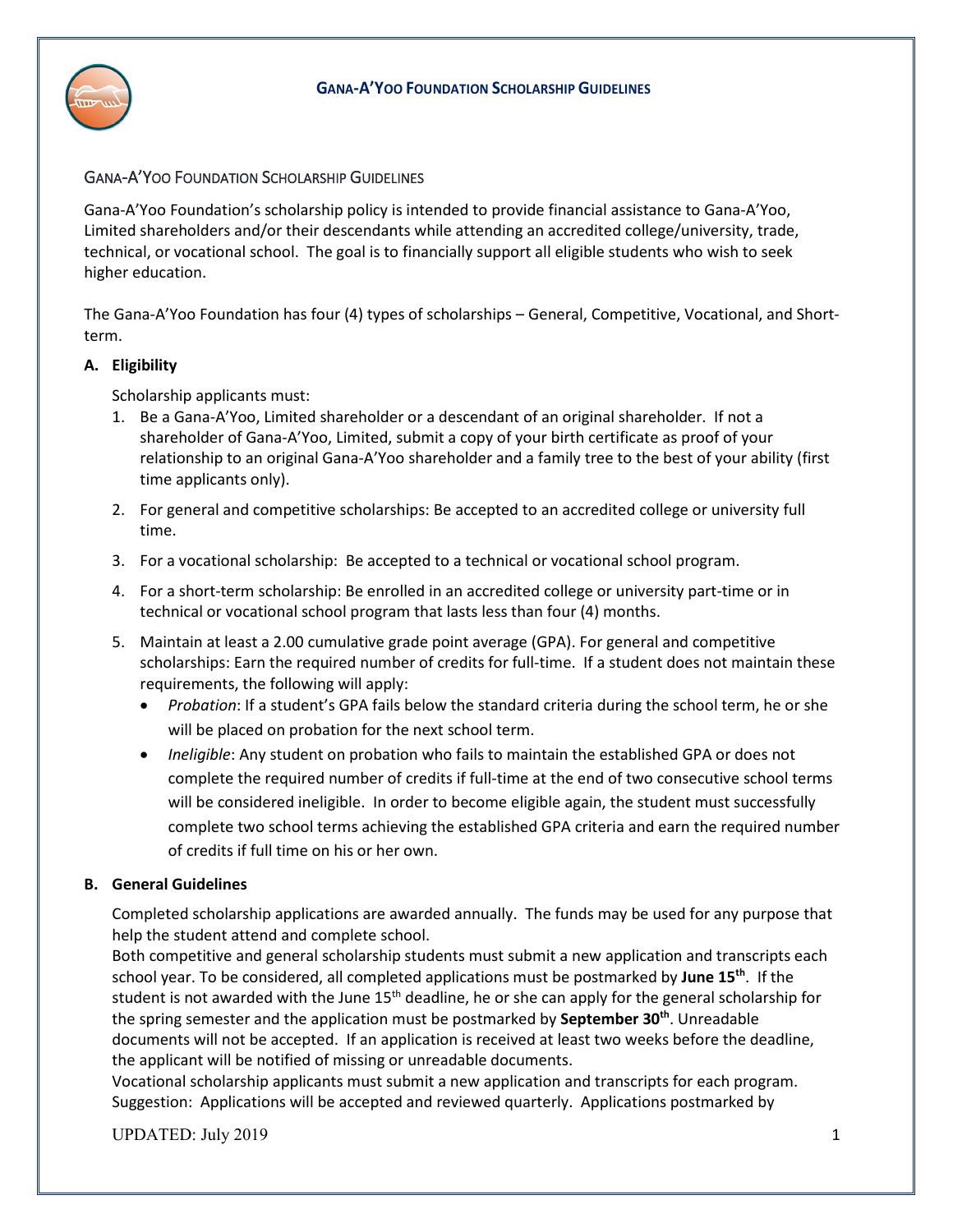

## GANA-A'YOO FOUNDATION SCHOLARSHIP GUIDELINES

Gana-A'Yoo Foundation's scholarship policy is intended to provide financial assistance to Gana-A'Yoo, Limited shareholders and/or their descendants while attending an accredited college/university, trade, technical, or vocational school. The goal is to financially support all eligible students who wish to seek higher education.

The Gana-A'Yoo Foundation has four (4) types of scholarships – General, Competitive, Vocational, and Shortterm.

## **A. Eligibility**

Scholarship applicants must:

- 1. Be a Gana-A'Yoo, Limited shareholder or a descendant of an original shareholder. If not a shareholder of Gana-A'Yoo, Limited, submit a copy of your birth certificate as proof of your relationship to an original Gana-A'Yoo shareholder and a family tree to the best of your ability (first time applicants only).
- 2. For general and competitive scholarships: Be accepted to an accredited college or university full time.
- 3. For a vocational scholarship: Be accepted to a technical or vocational school program.
- 4. For a short-term scholarship: Be enrolled in an accredited college or university part-time or in technical or vocational school program that lasts less than four (4) months.
- 5. Maintain at least a 2.00 cumulative grade point average (GPA). For general and competitive scholarships: Earn the required number of credits for full-time. If a student does not maintain these requirements, the following will apply:
	- *Probation*: If a student's GPA fails below the standard criteria during the school term, he or she will be placed on probation for the next school term.
	- *Ineligible*: Any student on probation who fails to maintain the established GPA or does not complete the required number of credits if full-time at the end of two consecutive school terms will be considered ineligible. In order to become eligible again, the student must successfully complete two school terms achieving the established GPA criteria and earn the required number of credits if full time on his or her own.

## **B. General Guidelines**

Completed scholarship applications are awarded annually. The funds may be used for any purpose that help the student attend and complete school.

Both competitive and general scholarship students must submit a new application and transcripts each school year. To be considered, all completed applications must be postmarked by **June 15th**. If the student is not awarded with the June  $15<sup>th</sup>$  deadline, he or she can apply for the general scholarship for the spring semester and the application must be postmarked by **September 30th**. Unreadable documents will not be accepted. If an application is received at least two weeks before the deadline, the applicant will be notified of missing or unreadable documents.

Vocational scholarship applicants must submit a new application and transcripts for each program. Suggestion: Applications will be accepted and reviewed quarterly. Applications postmarked by

UPDATED: July 2019 1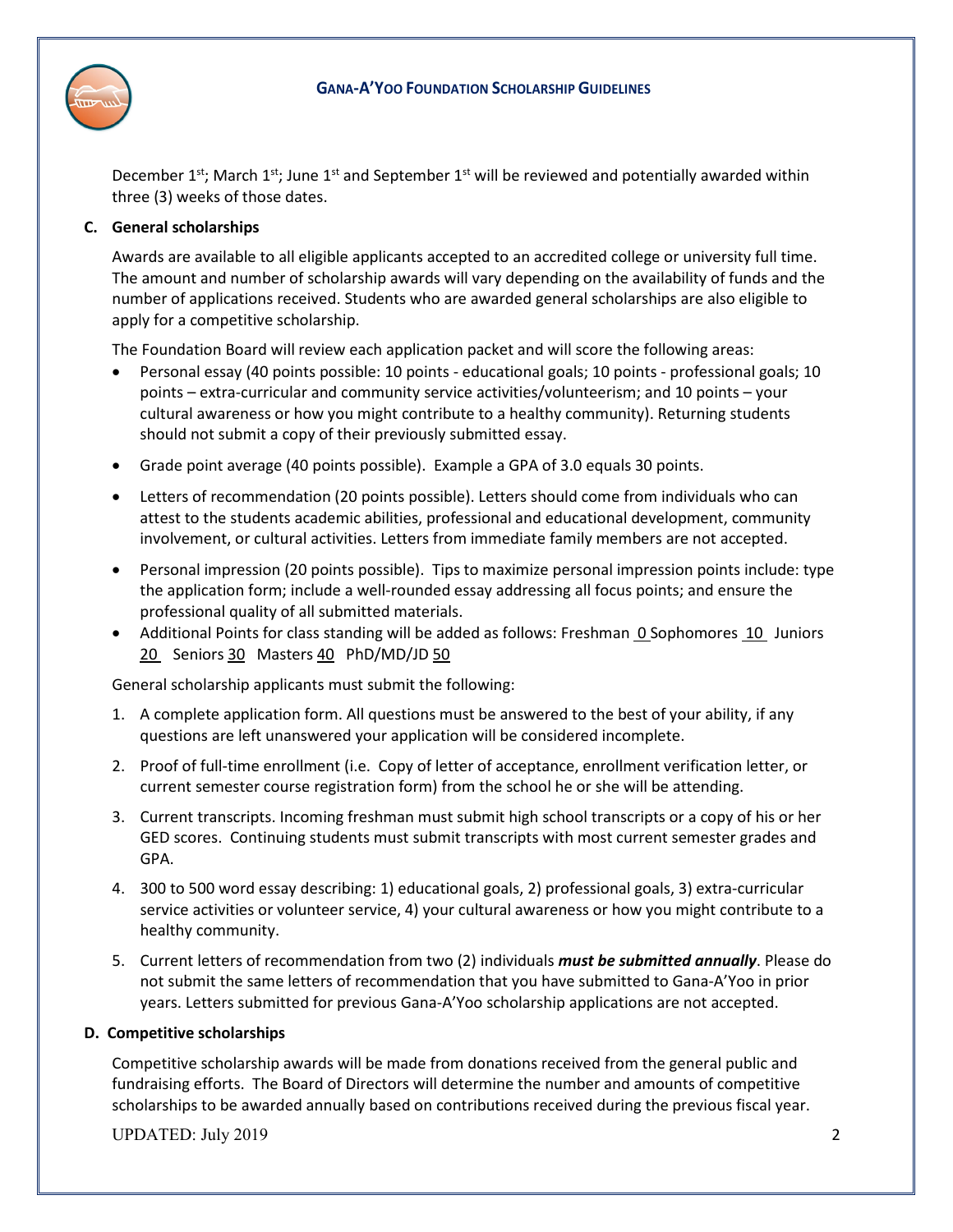



December  $1^{st}$ ; March  $1^{st}$ ; June  $1^{st}$  and September  $1^{st}$  will be reviewed and potentially awarded within three (3) weeks of those dates.

# **C. General scholarships**

Awards are available to all eligible applicants accepted to an accredited college or university full time. The amount and number of scholarship awards will vary depending on the availability of funds and the number of applications received. Students who are awarded general scholarships are also eligible to apply for a competitive scholarship.

The Foundation Board will review each application packet and will score the following areas:

- Personal essay (40 points possible: 10 points educational goals; 10 points professional goals; 10 points – extra-curricular and community service activities/volunteerism; and 10 points – your cultural awareness or how you might contribute to a healthy community). Returning students should not submit a copy of their previously submitted essay.
- Grade point average (40 points possible). Example a GPA of 3.0 equals 30 points.
- Letters of recommendation (20 points possible). Letters should come from individuals who can attest to the students academic abilities, professional and educational development, community involvement, or cultural activities. Letters from immediate family members are not accepted.
- Personal impression (20 points possible). Tips to maximize personal impression points include: type the application form; include a well-rounded essay addressing all focus points; and ensure the professional quality of all submitted materials.
- Additional Points for class standing will be added as follows: Freshman 0 Sophomores 10 Juniors 20 Seniors 30 Masters 40 PhD/MD/JD 50

General scholarship applicants must submit the following:

- 1. A complete application form. All questions must be answered to the best of your ability, if any questions are left unanswered your application will be considered incomplete.
- 2. Proof of full-time enrollment (i.e. Copy of letter of acceptance, enrollment verification letter, or current semester course registration form) from the school he or she will be attending.
- 3. Current transcripts. Incoming freshman must submit high school transcripts or a copy of his or her GED scores. Continuing students must submit transcripts with most current semester grades and GPA.
- 4. 300 to 500 word essay describing: 1) educational goals, 2) professional goals, 3) extra-curricular service activities or volunteer service, 4) your cultural awareness or how you might contribute to a healthy community.
- 5. Current letters of recommendation from two (2) individuals *must be submitted annually*. Please do not submit the same letters of recommendation that you have submitted to Gana-A'Yoo in prior years. Letters submitted for previous Gana-A'Yoo scholarship applications are not accepted.

## **D. Competitive scholarships**

Competitive scholarship awards will be made from donations received from the general public and fundraising efforts. The Board of Directors will determine the number and amounts of competitive scholarships to be awarded annually based on contributions received during the previous fiscal year.

UPDATED: July 2019 2019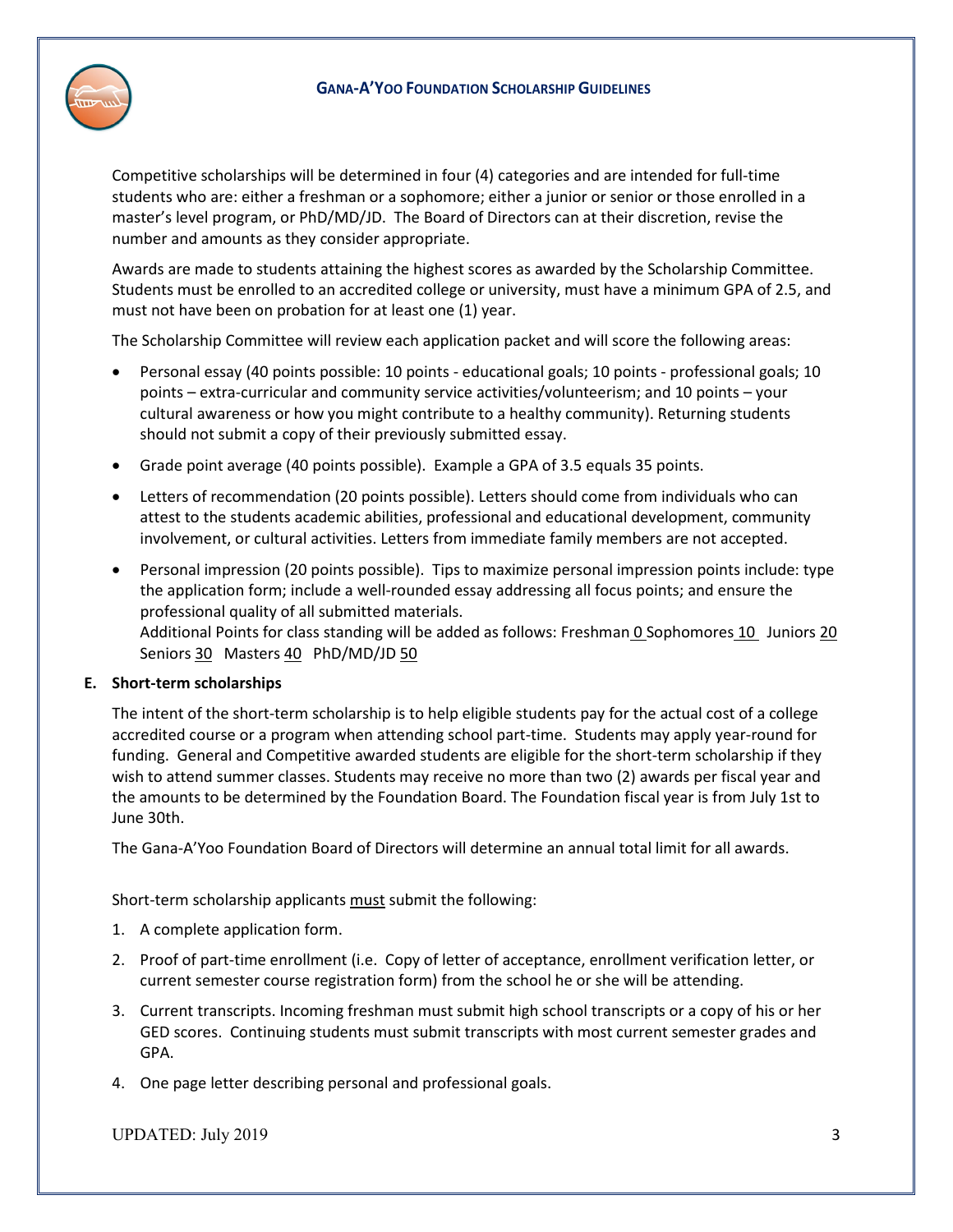

Competitive scholarships will be determined in four (4) categories and are intended for full-time students who are: either a freshman or a sophomore; either a junior or senior or those enrolled in a master's level program, or PhD/MD/JD. The Board of Directors can at their discretion, revise the number and amounts as they consider appropriate.

Awards are made to students attaining the highest scores as awarded by the Scholarship Committee. Students must be enrolled to an accredited college or university, must have a minimum GPA of 2.5, and must not have been on probation for at least one (1) year.

The Scholarship Committee will review each application packet and will score the following areas:

- Personal essay (40 points possible: 10 points educational goals; 10 points professional goals; 10 points – extra-curricular and community service activities/volunteerism; and 10 points – your cultural awareness or how you might contribute to a healthy community). Returning students should not submit a copy of their previously submitted essay.
- Grade point average (40 points possible). Example a GPA of 3.5 equals 35 points.
- Letters of recommendation (20 points possible). Letters should come from individuals who can attest to the students academic abilities, professional and educational development, community involvement, or cultural activities. Letters from immediate family members are not accepted.
- Personal impression (20 points possible). Tips to maximize personal impression points include: type the application form; include a well-rounded essay addressing all focus points; and ensure the professional quality of all submitted materials. Additional Points for class standing will be added as follows: Freshman 0 Sophomores 10 Juniors 20 Seniors 30 Masters 40 PhD/MD/JD 50

## **E. Short-term scholarships**

The intent of the short-term scholarship is to help eligible students pay for the actual cost of a college accredited course or a program when attending school part-time. Students may apply year-round for funding. General and Competitive awarded students are eligible for the short-term scholarship if they wish to attend summer classes. Students may receive no more than two (2) awards per fiscal year and the amounts to be determined by the Foundation Board. The Foundation fiscal year is from July 1st to June 30th.

The Gana-A'Yoo Foundation Board of Directors will determine an annual total limit for all awards.

Short-term scholarship applicants must submit the following:

- 1. A complete application form.
- 2. Proof of part-time enrollment (i.e. Copy of letter of acceptance, enrollment verification letter, or current semester course registration form) from the school he or she will be attending.
- 3. Current transcripts. Incoming freshman must submit high school transcripts or a copy of his or her GED scores. Continuing students must submit transcripts with most current semester grades and GPA.
- 4. One page letter describing personal and professional goals.

UPDATED: July 2019 3